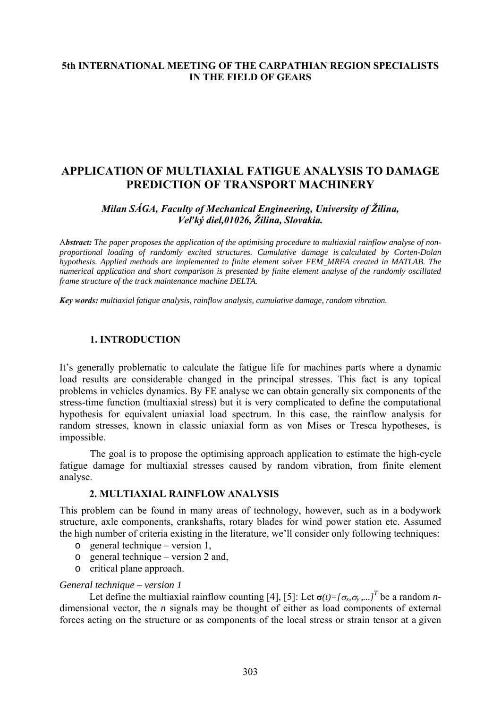### **5th INTERNATIONAL MEETING OF THE CARPATHIAN REGION SPECIALISTS IN THE FIELD OF GEARS**

# **APPLICATION OF MULTIAXIAL FATIGUE ANALYSIS TO DAMAGE PREDICTION OF TRANSPORT MACHINERY**

### *Milan SÁGA, Faculty of Mechanical Engineering, University of Žilina, Veľký diel,01026, Žilina, Slovakia.*

A*bstract: The paper proposes the application of the optimising procedure to multiaxial rainflow analyse of nonproportional loading of randomly excited structures. Cumulative damage is calculated by Corten-Dolan hypothesis. Applied methods are implemented to finite element solver FEM\_MRFA created in MATLAB. The numerical application and short comparison is presented by finite element analyse of the randomly oscillated frame structure of the track maintenance machine DELTA.* 

*Key words: multiaxial fatigue analysis, rainflow analysis, cumulative damage, random vibration.*

### **1. INTRODUCTION**

It's generally problematic to calculate the fatigue life for machines parts where a dynamic load results are considerable changed in the principal stresses. This fact is any topical problems in vehicles dynamics. By FE analyse we can obtain generally six components of the stress-time function (multiaxial stress) but it is very complicated to define the computational hypothesis for equivalent uniaxial load spectrum. In this case, the rainflow analysis for random stresses, known in classic uniaxial form as von Mises or Tresca hypotheses, is impossible.

The goal is to propose the optimising approach application to estimate the high-cycle fatigue damage for multiaxial stresses caused by random vibration, from finite element analyse.

### **2. MULTIAXIAL RAINFLOW ANALYSIS**

This problem can be found in many areas of technology, however, such as in a bodywork structure, axle components, crankshafts, rotary blades for wind power station etc. Assumed the high number of criteria existing in the literature, we'll consider only following techniques:

- o general technique version 1,
- o general technique version 2 and,
- o critical plane approach.

#### *General technique – version 1*

Let define the multiaxial rainflow counting [4], [5]: Let  $\sigma(t) = [\sigma_x, \sigma_y, \dots]^T$  be a random *n*dimensional vector, the *n* signals may be thought of either as load components of external forces acting on the structure or as components of the local stress or strain tensor at a given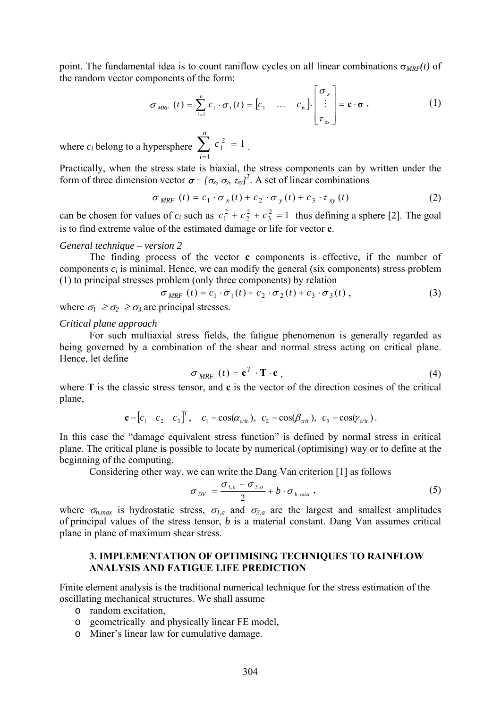point. The fundamental idea is to count raniflow cycles on all linear combinations  $\sigma_{MRF}(t)$  of the random vector components of the form:

$$
\sigma_{MRF}(t) = \sum_{i=1}^{n} c_i \cdot \sigma_i(t) = \begin{bmatrix} c_1 & \dots & c_6 \end{bmatrix} \cdot \begin{bmatrix} \sigma_x \\ \vdots \\ \tau_x \end{bmatrix} = \mathbf{c} \cdot \mathbf{\sigma}, \qquad (1)
$$

where  $c_i$  belong to a hypersphere  $\sum_{i=1}^{\infty} c_i^2 = 1$ . *n i*  $c_i$ 1  $i^2 = 1$ 

Practically, when the stress state is biaxial, the stress components can by written under the form of three dimension vector  $\sigma = [\sigma_x, \sigma_y, \tau_{xy}]^T$ . A set of linear combinations

$$
\sigma_{MRF}(t) = c_1 \cdot \sigma_x(t) + c_2 \cdot \sigma_y(t) + c_3 \cdot \tau_{xy}(t)
$$
\n(2)

can be chosen for values of  $c_i$  such as  $c_1^2 + c_2^2 + c_3^2 = 1$  thus defining a sphere [2]. The goal is to find extreme value of the estimated damage or life for vector **c**.

#### *General technique – version 2*

 The finding process of the vector **c** components is effective, if the number of components  $c_i$  is minimal. Hence, we can modify the general (six components) stress problem (1) to principal stresses problem (only three components) by relation

$$
\sigma_{MRF}(t) = c_1 \cdot \sigma_1(t) + c_2 \cdot \sigma_2(t) + c_3 \cdot \sigma_3(t) , \qquad (3)
$$

where  $\sigma_1 \geq \sigma_2 \geq \sigma_3$  are principal stresses.

#### *Critical plane approach*

 For such multiaxial stress fields, the fatigue phenomenon is generally regarded as being governed by a combination of the shear and normal stress acting on critical plane. Hence, let define

$$
\sigma_{MRF} (t) = \mathbf{c}^T \cdot \mathbf{T} \cdot \mathbf{c} \tag{4}
$$

where **T** is the classic stress tensor, and **c** is the vector of the direction cosines of the critical plane,

$$
\mathbf{c} = [c_1 \quad c_2 \quad c_3]^T, \quad c_1 = \cos(\alpha_{\text{crit.}}), \quad c_2 = \cos(\beta_{\text{crit.}}), \quad c_3 = \cos(\gamma_{\text{crit.}}).
$$

In this case the "damage equivalent stress function" is defined by normal stress in critical plane. The critical plane is possible to locate by numerical (optimising) way or to define at the beginning of the computing.

Considering other way, we can write the Dang Van criterion [1] as follows

$$
\sigma_{\text{DV}} = \frac{\sigma_{1,a} - \sigma_{3,a}}{2} + b \cdot \sigma_{h,\text{max}} \,, \tag{5}
$$

where  $\sigma_{h,max}$  is hydrostatic stress,  $\sigma_{I,a}$  and  $\sigma_{3,a}$  are the largest and smallest amplitudes of principal values of the stress tensor, *b* is a material constant. Dang Van assumes critical plane in plane of maximum shear stress.

### **3. IMPLEMENTATION OF OPTIMISING TECHNIQUES TO RAINFLOW ANALYSIS AND FATIGUE LIFE PREDICTION**

Finite element analysis is the traditional numerical technique for the stress estimation of the oscillating mechanical structures. We shall assume

- o random excitation,
- o geometrically and physically linear FE model,
- o Miner's linear law for cumulative damage.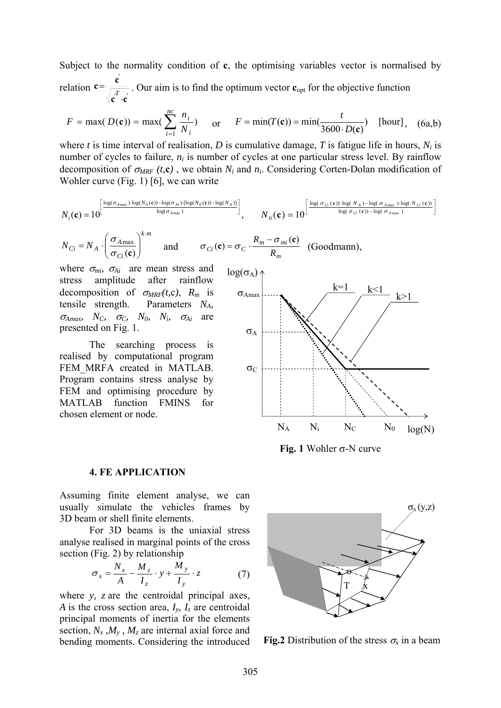Subject to the normality condition of **c**, the optimising variables vector is normalised by relation  $c = \frac{c}{\sqrt{a^T}}$ ' $\vec{c} \cdot \vec{c}$  $c = \frac{c}{\sqrt{c}}$ ⋅  $=\frac{C}{\sqrt{T}}$ . Our aim is to find the optimum vector **c**<sub>opt</sub> for the objective function

$$
F = \max(D(\mathbf{c})) = \max(\sum_{i=1}^{nc} \frac{n_i}{N_i}) \quad \text{or} \quad F = \min(T(\mathbf{c})) = \min(\frac{t}{3600 \cdot D(\mathbf{c})}) \quad [\text{hour}], \quad (6a, b)
$$

where *t* is time interval of realisation, *D* is cumulative damage, *T* is fatigue life in hours,  $N_i$  is number of cycles to failure,  $n_i$  is number of cycles at one particular stress level. By rainflow decomposition of  $\sigma_{MRF}$  (*t*,**c**), we obtain  $N_i$  and  $n_i$ . Considering Corten-Dolan modification of Wohler curve (Fig. 1) [6], we can write

$$
N_{i}(\mathbf{c}) = 10^{\left[\frac{\log(\sigma_{A_{\max}}) \cdot \log(N_{0}(\mathbf{c})) - \log(\sigma_{Ai}) \cdot [\log(N_{0}(\mathbf{c})) - \log(N_{A})] \right]}{\log(\sigma_{A_{\max}})}} , \qquad N_{0}(\mathbf{c}) = 10^{\left[\frac{\log(\sigma_{Ci}(\mathbf{c})) \cdot \log(N_{A}) - \log(\sigma_{A_{\max}}) \cdot \log(N_{Ci}(\mathbf{c})) \right]}{\log(\sigma_{Ci}(\mathbf{c})) - \log(\sigma_{A_{\max}})} \right]
$$

$$
N_{Ci} = N_A \cdot \left(\frac{\sigma_{A\max}}{\sigma_{Ci}(\mathbf{c})}\right)^{k \cdot m} \quad \text{and} \quad \sigma_{Ci}(\mathbf{c}) = \sigma_C \cdot \frac{R_m - \sigma_{mi}(\mathbf{c})}{R_m} \quad \text{(Goodmann)},
$$

where  $\sigma_{mi}$ ,  $\sigma_{Ai}$  are mean stress and stress amplitude after rainflow decomposition of  $\sigma_{MRF}(t,c)$ ,  $R_m$  is tensile strength. Parameters *NA,*   $\sigma_{\text{Amax}}$ ,  $N_C$ ,  $\sigma_C$ ,  $N_0$ ,  $N_i$ ,  $\sigma_{Ai}$  are presented on Fig. 1.

 The searching process is realised by computational program FEM MRFA created in MATLAB. Program contains stress analyse by FEM and optimising procedure by MATLAB function FMINS for chosen element or node.



**Fig. 1** Wohler σ-N curve

#### **4. FE APPLICATION**

Assuming finite element analyse, we can usually simulate the vehicles frames by 3D beam or shell finite elements.

 For 3D beams is the uniaxial stress analyse realised in marginal points of the cross section (Fig. 2) by relationship

$$
\sigma_x = \frac{N_x}{A} - \frac{M_z}{I_z} \cdot y + \frac{M_y}{I_y} \cdot z \tag{7}
$$

where *y, z* are the centroidal principal axes, *A* is the cross section area,  $I_y$ ,  $I_z$  are centroidal principal moments of inertia for the elements section,  $N_x$ ,  $M_y$ ,  $M_z$  are internal axial force and bending moments. Considering the introduced



**Fig.2** Distribution of the stress  $\sigma_x$  in a beam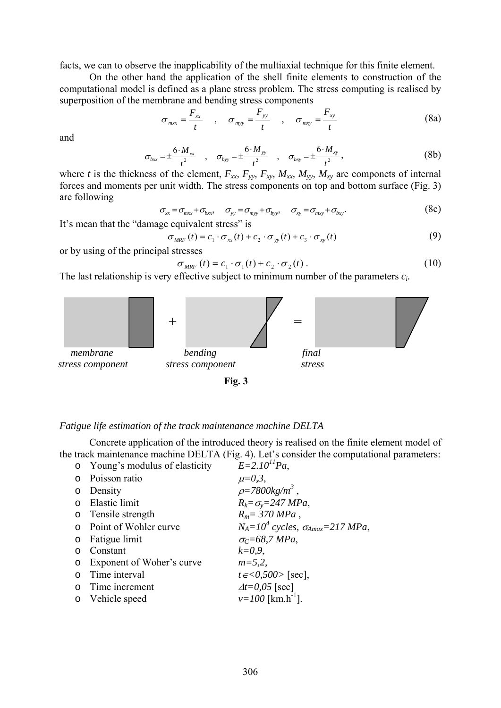facts, we can to observe the inapplicability of the multiaxial technique for this finite element.

 On the other hand the application of the shell finite elements to construction of the computational model is defined as a plane stress problem. The stress computing is realised by superposition of the membrane and bending stress components

$$
\sigma_{mx} = \frac{F_{xx}}{t} , \quad \sigma_{myy} = \frac{F_{yy}}{t} , \quad \sigma_{mxy} = \frac{F_{xy}}{t}
$$
 (8a)

and

$$
\sigma_{bxx} = \pm \frac{6 \cdot M_{xx}}{t^2} , \quad \sigma_{byy} = \pm \frac{6 \cdot M_{yy}}{t^2} , \quad \sigma_{bxy} = \pm \frac{6 \cdot M_{xy}}{t^2} , \tag{8b}
$$

where *t* is the thickness of the element,  $F_{xx}$ ,  $F_{yy}$ ,  $F_{xy}$ ,  $M_{xx}$ ,  $M_{yy}$ ,  $M_{xy}$  are componets of internal forces and moments per unit width. The stress components on top and bottom surface (Fig. 3) are following

$$
\sigma_{xx} = \sigma_{mx} + \sigma_{bxx}, \quad \sigma_{yy} = \sigma_{myy} + \sigma_{byy}, \quad \sigma_{xy} = \sigma_{mxy} + \sigma_{bxy}.
$$
 (8c)

It's mean that the "damage equivalent stress" is

$$
\sigma_{MRF}(t) = c_1 \cdot \sigma_{xx}(t) + c_2 \cdot \sigma_{yy}(t) + c_3 \cdot \sigma_{xy}(t)
$$
\n(9)

or by using of the principal stresses

$$
\sigma_{MRF}(t) = c_1 \cdot \sigma_1(t) + c_2 \cdot \sigma_2(t). \qquad (10)
$$

The last relationship is very effective subject to minimum number of the parameters *ci.* 



#### *Fatigue life estimation of the track maintenance machine DELTA*

 Concrete application of the introduced theory is realised on the finite element model of the track maintenance machine DELTA (Fig. 4). Let's consider the computational parameters:<br>  $F = 2 L0^{11} Rc$ o Young's modulus of elasticity *E=2.1011Pa*,

|         | O roung s modulus of elasticity | $E=2.10$ Pa.                                 |
|---------|---------------------------------|----------------------------------------------|
|         | o Poisson ratio                 | $\mu = 0, 3,$                                |
|         | o Density                       | $\rho = 7800 kg/m^3$ ,                       |
|         | o Elastic limit                 | $R_k = \sigma_v = 247 MPa$ ,                 |
|         | o Tensile strength              | $R_m = 370 MPa$ ,                            |
|         | o Point of Wohler curve         | $N_A=10^4$ cycles, $\sigma_{A max}=217$ MPa, |
|         | $\circ$ Fatigue limit           | $\sigma$ <sub>C</sub> =68,7 MPa,             |
| $\circ$ | Constant                        | $k=0.9$ ,                                    |
|         | o Exponent of Woher's curve     | $m = 5, 2,$                                  |
| $\circ$ | Time interval                   | $t \in <0,500>$ [sec],                       |
|         | o Time increment                | $\Delta t = 0.05$ [sec]                      |
|         | o Vehicle speed                 | $v=100$ [km.h <sup>-1</sup> ].               |
|         |                                 |                                              |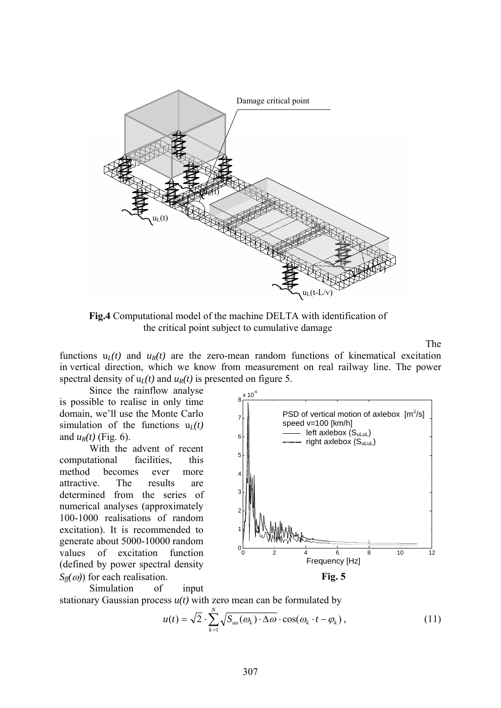

**Fig.4** Computational model of the machine DELTA with identification of the critical point subject to cumulative damage

The

functions  $u_l(t)$  and  $u_R(t)$  are the zero-mean random functions of kinematical excitation in vertical direction, which we know from measurement on real railway line. The power spectral density of  $u_l(t)$  and  $u_R(t)$  is presented on figure 5.

Since the rainflow analyse is possible to realise in only time domain, we'll use the Monte Carlo simulation of the functions  $u_l(t)$ and  $u_R(t)$  (Fig. 6).

With the advent of recent computational facilities, this method becomes ever more attractive. The results are determined from the series of numerical analyses (approximately 100-1000 realisations of random excitation). It is recommended to generate about 5000-10000 random values of excitation function (defined by power spectral density  $S_{\theta}(\omega)$  for each realisation.

Simulation of input



stationary Gaussian process  $u(t)$  with zero mean can be formulated by

$$
u(t) = \sqrt{2} \cdot \sum_{k=1}^{N} \sqrt{S_{uu}(\omega_k) \cdot \Delta \omega} \cdot \cos(\omega_k \cdot t - \varphi_k), \qquad (11)
$$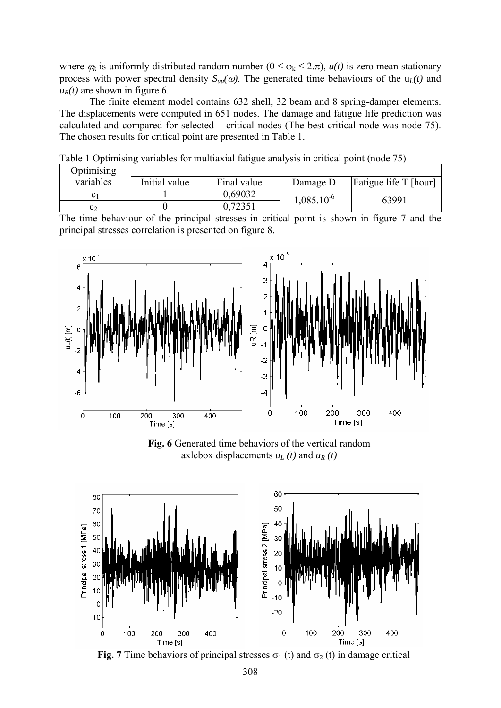where  $\varphi_k$  is uniformly distributed random number ( $0 \le \varphi_k \le 2 \cdot \pi$ ),  $u(t)$  is zero mean stationary process with power spectral density  $S_{uu}(\omega)$ . The generated time behaviours of the  $u_l(t)$  and  $u_R(t)$  are shown in figure 6.

The finite element model contains 632 shell, 32 beam and 8 spring-damper elements. The displacements were computed in 651 nodes. The damage and fatigue life prediction was calculated and compared for selected – critical nodes (The best critical node was node 75). The chosen results for critical point are presented in Table 1.

| Optimising |               |             |                 |                       |
|------------|---------------|-------------|-----------------|-----------------------|
| variables  | Initial value | Final value | Damage D        | Fatigue life T [hour] |
|            |               | 0,69032     | $1,085.10^{-6}$ | 63991                 |
| C٦         |               | 0,72351     |                 |                       |

Table 1 Optimising variables for multiaxial fatigue analysis in critical point (node 75)

The time behaviour of the principal stresses in critical point is shown in figure 7 and the principal stresses correlation is presented on figure 8.



**Fig. 6** Generated time behaviors of the vertical random axlebox displacements  $u_L(t)$  and  $u_R(t)$ 



**Fig. 7** Time behaviors of principal stresses  $\sigma_1$  (t) and  $\sigma_2$  (t) in damage critical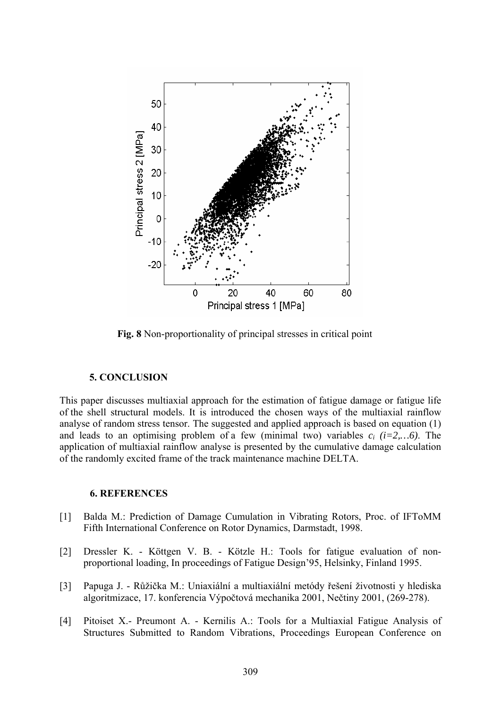

**Fig. 8** Non-proportionality of principal stresses in critical point

### **5. CONCLUSION**

This paper discusses multiaxial approach for the estimation of fatigue damage or fatigue life of the shell structural models. It is introduced the chosen ways of the multiaxial rainflow analyse of random stress tensor. The suggested and applied approach is based on equation (1) and leads to an optimising problem of a few (minimal two) variables  $c_i$   $(i=2,...6)$ . The application of multiaxial rainflow analyse is presented by the cumulative damage calculation of the randomly excited frame of the track maintenance machine DELTA.

## **6. REFERENCES**

- [1] Balda M.: Prediction of Damage Cumulation in Vibrating Rotors, Proc. of IFToMM Fifth International Conference on Rotor Dynamics, Darmstadt, 1998.
- [2] Dressler K. Köttgen V. B. Kötzle H.: Tools for fatigue evaluation of nonproportional loading, In proceedings of Fatigue Design'95, Helsinky, Finland 1995.
- [3] Papuga J. Růžička M.: Uniaxiální a multiaxiální metódy řešení životnosti y hlediska algoritmizace, 17. konferencia Výpočtová mechanika 2001, Nečtiny 2001, (269-278).
- [4] Pitoiset X.- Preumont A. Kernilis A.: Tools for a Multiaxial Fatigue Analysis of Structures Submitted to Random Vibrations, Proceedings European Conference on